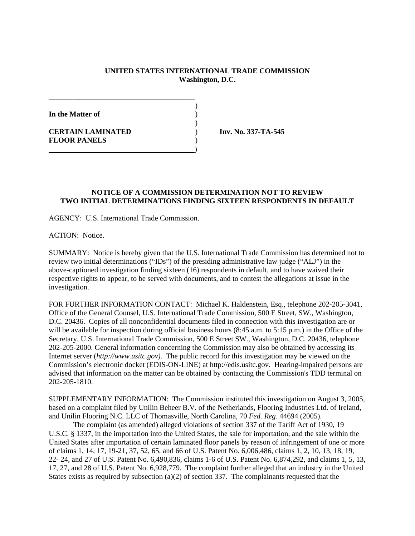## **UNITED STATES INTERNATIONAL TRADE COMMISSION Washington, D.C.**

)

)

**In the Matter of** )

**CERTAIN LAMINATED** ) **Inv. No. 337-TA-545 FLOOR PANELS** )

## **NOTICE OF A COMMISSION DETERMINATION NOT TO REVIEW TWO INITIAL DETERMINATIONS FINDING SIXTEEN RESPONDENTS IN DEFAULT**

AGENCY: U.S. International Trade Commission.

\_\_\_\_\_\_\_\_\_\_\_\_\_\_\_\_\_\_\_\_\_\_\_\_\_\_\_\_\_\_\_\_\_\_\_\_\_\_\_

)

ACTION: Notice.

SUMMARY: Notice is hereby given that the U.S. International Trade Commission has determined not to review two initial determinations ("IDs") of the presiding administrative law judge ("ALJ") in the above-captioned investigation finding sixteen (16) respondents in default, and to have waived their respective rights to appear, to be served with documents, and to contest the allegations at issue in the investigation.

FOR FURTHER INFORMATION CONTACT: Michael K. Haldenstein, Esq., telephone 202-205-3041, Office of the General Counsel, U.S. International Trade Commission, 500 E Street, SW., Washington, D.C. 20436. Copies of all nonconfidential documents filed in connection with this investigation are or will be available for inspection during official business hours (8:45 a.m. to 5:15 p.m.) in the Office of the Secretary, U.S. International Trade Commission, 500 E Street SW., Washington, D.C. 20436, telephone 202-205-2000. General information concerning the Commission may also be obtained by accessing its Internet server (*http://www.usitc.gov).* The public record for this investigation may be viewed on the Commission's electronic docket (EDIS-ON-LINE) at http://edis.usitc.gov. Hearing-impaired persons are advised that information on the matter can be obtained by contacting the Commission's TDD terminal on 202-205-1810.

SUPPLEMENTARY INFORMATION: The Commission instituted this investigation on August 3, 2005, based on a complaint filed by Unilin Beheer B.V. of the Netherlands, Flooring Industries Ltd. of Ireland, and Unilin Flooring N.C. LLC of Thomasville, North Carolina, 70 *Fed. Reg*. 44694 (2005).

The complaint (as amended) alleged violations of section 337 of the Tariff Act of 1930, 19 U.S.C. § 1337, in the importation into the United States, the sale for importation, and the sale within the United States after importation of certain laminated floor panels by reason of infringement of one or more of claims 1, 14, 17, 19-21, 37, 52, 65, and 66 of U.S. Patent No. 6,006,486, claims 1, 2, 10, 13, 18, 19, 22- 24, and 27 of U.S. Patent No. 6,490,836, claims 1-6 of U.S. Patent No. 6,874,292, and claims 1, 5, 13, 17, 27, and 28 of U.S. Patent No. 6,928,779. The complaint further alleged that an industry in the United States exists as required by subsection (a)(2) of section 337. The complainants requested that the